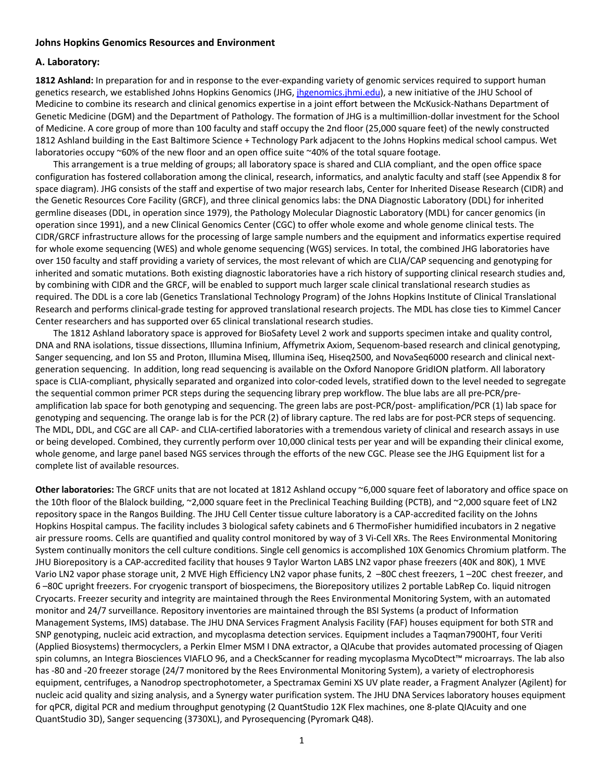## **Johns Hopkins Genomics Resources and Environment**

## **A. Laboratory:**

**1812 Ashland:** In preparation for and in response to the ever-expanding variety of genomic services required to support human genetics research, we established Johns Hopkins Genomics (JHG, jhgenomics.jhmi.edu), a new initiative of the JHU School of Medicine to combine its research and clinical genomics expertise in a joint effort between the McKusick-Nathans Department of Genetic Medicine (DGM) and the Department of Pathology. The formation of JHG is a multimillion-dollar investment for the School of Medicine. A core group of more than 100 faculty and staff occupy the 2nd floor (25,000 square feet) of the newly constructed 1812 Ashland building in the East Baltimore Science + Technology Park adjacent to the Johns Hopkins medical school campus. Wet laboratories occupy ~60% of the new floor and an open office suite ~40% of the total square footage.

This arrangement is a true melding of groups; all laboratory space is shared and CLIA compliant, and the open office space configuration has fostered collaboration among the clinical, research, informatics, and analytic faculty and staff (see Appendix 8 for space diagram). JHG consists of the staff and expertise of two major research labs, Center for Inherited Disease Research (CIDR) and the Genetic Resources Core Facility (GRCF), and three clinical genomics labs: the DNA Diagnostic Laboratory (DDL) for inherited germline diseases (DDL, in operation since 1979), the Pathology Molecular Diagnostic Laboratory (MDL) for cancer genomics (in operation since 1991), and a new Clinical Genomics Center (CGC) to offer whole exome and whole genome clinical tests. The CIDR/GRCF infrastructure allows for the processing of large sample numbers and the equipment and informatics expertise required for whole exome sequencing (WES) and whole genome sequencing (WGS) services. In total, the combined JHG laboratories have over 150 faculty and staff providing a variety of services, the most relevant of which are CLIA/CAP sequencing and genotyping for inherited and somatic mutations. Both existing diagnostic laboratories have a rich history of supporting clinical research studies and, by combining with CIDR and the GRCF, will be enabled to support much larger scale clinical translational research studies as required. The DDL is a core lab (Genetics Translational Technology Program) of the Johns Hopkins Institute of Clinical Translational Research and performs clinical-grade testing for approved translational research projects. The MDL has close ties to Kimmel Cancer Center researchers and has supported over 65 clinical translational research studies.

The 1812 Ashland laboratory space is approved for BioSafety Level 2 work and supports specimen intake and quality control, DNA and RNA isolations, tissue dissections, Illumina Infinium, Affymetrix Axiom, Sequenom-based research and clinical genotyping, Sanger sequencing, and Ion S5 and Proton, Illumina Miseq, Illumina iSeq, Hiseq2500, and NovaSeq6000 research and clinical nextgeneration sequencing. In addition, long read sequencing is available on the Oxford Nanopore GridION platform. All laboratory space is CLIA-compliant, physically separated and organized into color-coded levels, stratified down to the level needed to segregate the sequential common primer PCR steps during the sequencing library prep workflow. The blue labs are all pre-PCR/preamplification lab space for both genotyping and sequencing. The green labs are post-PCR/post- amplification/PCR (1) lab space for genotyping and sequencing. The orange lab is for the PCR (2) of library capture. The red labs are for post-PCR steps of sequencing. The MDL, DDL, and CGC are all CAP- and CLIA-certified laboratories with a tremendous variety of clinical and research assays in use or being developed. Combined, they currently perform over 10,000 clinical tests per year and will be expanding their clinical exome, whole genome, and large panel based NGS services through the efforts of the new CGC. Please see the JHG Equipment list for a complete list of available resources.

**Other laboratories:** The GRCF units that are not located at 1812 Ashland occupy ~6,000 square feet of laboratory and office space on the 10th floor of the Blalock building, ~2,000 square feet in the Preclinical Teaching Building (PCTB), and ~2,000 square feet of LN2 repository space in the Rangos Building. The JHU Cell Center tissue culture laboratory is a CAP-accredited facility on the Johns Hopkins Hospital campus. The facility includes 3 biological safety cabinets and 6 ThermoFisher humidified incubators in 2 negative air pressure rooms. Cells are quantified and quality control monitored by way of 3 Vi-Cell XRs. The Rees Environmental Monitoring System continually monitors the cell culture conditions. Single cell genomics is accomplished 10X Genomics Chromium platform. The JHU Biorepository is a CAP-accredited facility that houses 9 Taylor Warton LABS LN2 vapor phase freezers (40K and 80K), 1 MVE Vario LN2 vapor phase storage unit, 2 MVE High Efficiency LN2 vapor phase funits, 2 -80C chest freezers, 1 -20C chest freezer, and 6 –80C upright freezers. For cryogenic transport of biospecimens, the Biorepository utilizes 2 portable LabRep Co. liquid nitrogen Cryocarts. Freezer security and integrity are maintained through the Rees Environmental Monitoring System, with an automated monitor and 24/7 surveillance. Repository inventories are maintained through the BSI Systems (a product of Information Management Systems, IMS) database. The JHU DNA Services Fragment Analysis Facility (FAF) houses equipment for both STR and SNP genotyping, nucleic acid extraction, and mycoplasma detection services. Equipment includes a Taqman7900HT, four Veriti (Applied Biosystems) thermocyclers, a Perkin Elmer MSM I DNA extractor, a QIAcube that provides automated processing of Qiagen spin columns, an Integra Biosciences VIAFLO 96, and a CheckScanner for reading mycoplasma MycoDtect™ microarrays. The lab also has -80 and -20 freezer storage (24/7 monitored by the Rees Environmental Monitoring System), a variety of electrophoresis equipment, centrifuges, a Nanodrop spectrophotometer, a Spectramax Gemini XS UV plate reader, a Fragment Analyzer (Agilent) for nucleic acid quality and sizing analysis, and a Synergy water purification system. The JHU DNA Services laboratory houses equipment for qPCR, digital PCR and medium throughput genotyping (2 QuantStudio 12K Flex machines, one 8-plate QIAcuity and one QuantStudio 3D), Sanger sequencing (3730XL), and Pyrosequencing (Pyromark Q48).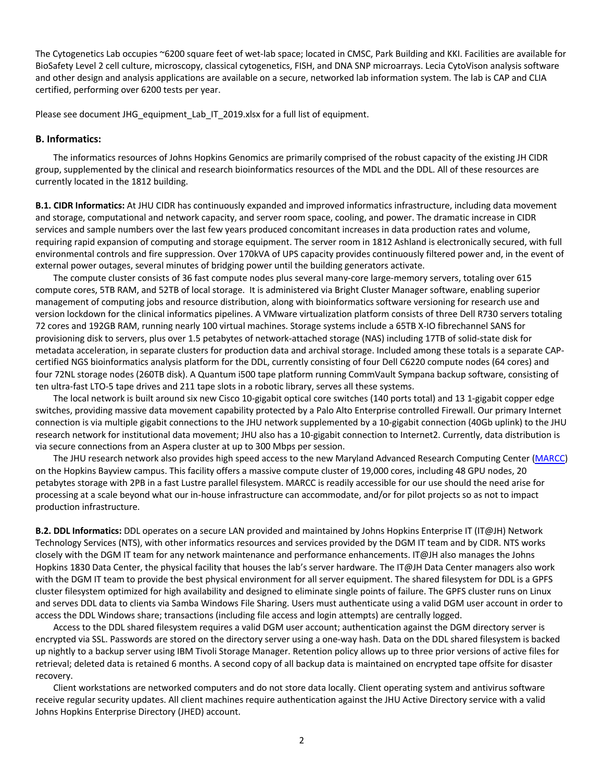The Cytogenetics Lab occupies ~6200 square feet of wet-lab space; located in CMSC, Park Building and KKI. Facilities are available for BioSafety Level 2 cell culture, microscopy, classical cytogenetics, FISH, and DNA SNP microarrays. Lecia CytoVison analysis software and other design and analysis applications are available on a secure, networked lab information system. The lab is CAP and CLIA certified, performing over 6200 tests per year.

Please see document JHG\_equipment\_Lab\_IT\_2019.xlsx for a full list of equipment.

#### **B. Informatics:**

The informatics resources of Johns Hopkins Genomics are primarily comprised of the robust capacity of the existing JH CIDR group, supplemented by the clinical and research bioinformatics resources of the MDL and the DDL. All of these resources are currently located in the 1812 building.

**B.1. CIDR Informatics:** At JHU CIDR has continuously expanded and improved informatics infrastructure, including data movement and storage, computational and network capacity, and server room space, cooling, and power. The dramatic increase in CIDR services and sample numbers over the last few years produced concomitant increases in data production rates and volume, requiring rapid expansion of computing and storage equipment. The server room in 1812 Ashland is electronically secured, with full environmental controls and fire suppression. Over 170kVA of UPS capacity provides continuously filtered power and, in the event of external power outages, several minutes of bridging power until the building generators activate.

The compute cluster consists of 36 fast compute nodes plus several many-core large-memory servers, totaling over 615 compute cores, 5TB RAM, and 52TB of local storage. It is administered via Bright Cluster Manager software, enabling superior management of computing jobs and resource distribution, along with bioinformatics software versioning for research use and version lockdown for the clinical informatics pipelines. A VMware virtualization platform consists of three Dell R730 servers totaling 72 cores and 192GB RAM, running nearly 100 virtual machines. Storage systems include a 65TB X-IO fibrechannel SANS for provisioning disk to servers, plus over 1.5 petabytes of network-attached storage (NAS) including 17TB of solid-state disk for metadata acceleration, in separate clusters for production data and archival storage. Included among these totals is a separate CAPcertified NGS bioinformatics analysis platform for the DDL, currently consisting of four Dell C6220 compute nodes (64 cores) and four 72NL storage nodes (260TB disk). A Quantum i500 tape platform running CommVault Sympana backup software, consisting of ten ultra-fast LTO-5 tape drives and 211 tape slots in a robotic library, serves all these systems.

The local network is built around six new Cisco 10-gigabit optical core switches (140 ports total) and 13 1-gigabit copper edge switches, providing massive data movement capability protected by a Palo Alto Enterprise controlled Firewall. Our primary Internet connection is via multiple gigabit connections to the JHU network supplemented by a 10-gigabit connection (40Gb uplink) to the JHU research network for institutional data movement; JHU also has a 10-gigabit connection to Internet2. Currently, data distribution is via secure connections from an Aspera cluster at up to 300 Mbps per session.

The JHU research network also provides high speed access to the new Maryland Advanced Research Computing Center (MARCC) on the Hopkins Bayview campus. This facility offers a massive compute cluster of 19,000 cores, including 48 GPU nodes, 20 petabytes storage with 2PB in a fast Lustre parallel filesystem. MARCC is readily accessible for our use should the need arise for processing at a scale beyond what our in-house infrastructure can accommodate, and/or for pilot projects so as not to impact production infrastructure.

**B.2. DDL Informatics:** DDL operates on a secure LAN provided and maintained by Johns Hopkins Enterprise IT (IT@JH) Network Technology Services (NTS), with other informatics resources and services provided by the DGM IT team and by CIDR. NTS works closely with the DGM IT team for any network maintenance and performance enhancements. IT@JH also manages the Johns Hopkins 1830 Data Center, the physical facility that houses the lab's server hardware. The IT@JH Data Center managers also work with the DGM IT team to provide the best physical environment for all server equipment. The shared filesystem for DDL is a GPFS cluster filesystem optimized for high availability and designed to eliminate single points of failure. The GPFS cluster runs on Linux and serves DDL data to clients via Samba Windows File Sharing. Users must authenticate using a valid DGM user account in order to access the DDL Windows share; transactions (including file access and login attempts) are centrally logged.

Access to the DDL shared filesystem requires a valid DGM user account; authentication against the DGM directory server is encrypted via SSL. Passwords are stored on the directory server using a one-way hash. Data on the DDL shared filesystem is backed up nightly to a backup server using IBM Tivoli Storage Manager. Retention policy allows up to three prior versions of active files for retrieval; deleted data is retained 6 months. A second copy of all backup data is maintained on encrypted tape offsite for disaster recovery.

Client workstations are networked computers and do not store data locally. Client operating system and antivirus software receive regular security updates. All client machines require authentication against the JHU Active Directory service with a valid Johns Hopkins Enterprise Directory (JHED) account.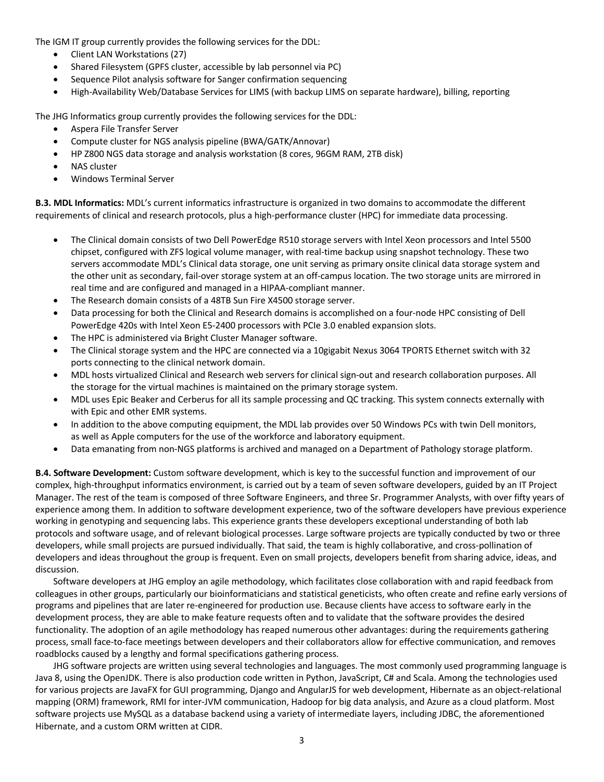The IGM IT group currently provides the following services for the DDL:

- Client LAN Workstations (27)
- Shared Filesystem (GPFS cluster, accessible by lab personnel via PC)
- Sequence Pilot analysis software for Sanger confirmation sequencing
- High-Availability Web/Database Services for LIMS (with backup LIMS on separate hardware), billing, reporting

The JHG Informatics group currently provides the following services for the DDL:

- Aspera File Transfer Server
- Compute cluster for NGS analysis pipeline (BWA/GATK/Annovar)
- HP Z800 NGS data storage and analysis workstation (8 cores, 96GM RAM, 2TB disk)
- **NAS cluster**
- Windows Terminal Server

**B.3. MDL Informatics:** MDL's current informatics infrastructure is organized in two domains to accommodate the different requirements of clinical and research protocols, plus a high-performance cluster (HPC) for immediate data processing.

- The Clinical domain consists of two Dell PowerEdge R510 storage servers with Intel Xeon processors and Intel 5500 chipset, configured with ZFS logical volume manager, with real-time backup using snapshot technology. These two servers accommodate MDL's Clinical data storage, one unit serving as primary onsite clinical data storage system and the other unit as secondary, fail-over storage system at an off-campus location. The two storage units are mirrored in real time and are configured and managed in a HIPAA-compliant manner.
- The Research domain consists of a 48TB Sun Fire X4500 storage server.
- Data processing for both the Clinical and Research domains is accomplished on a four-node HPC consisting of Dell PowerEdge 420s with Intel Xeon E5-2400 processors with PCIe 3.0 enabled expansion slots.
- The HPC is administered via Bright Cluster Manager software.
- The Clinical storage system and the HPC are connected via a 10gigabit Nexus 3064 TPORTS Ethernet switch with 32 ports connecting to the clinical network domain.
- MDL hosts virtualized Clinical and Research web servers for clinical sign-out and research collaboration purposes. All the storage for the virtual machines is maintained on the primary storage system.
- MDL uses Epic Beaker and Cerberus for all its sample processing and QC tracking. This system connects externally with with Epic and other EMR systems.
- In addition to the above computing equipment, the MDL lab provides over 50 Windows PCs with twin Dell monitors, as well as Apple computers for the use of the workforce and laboratory equipment.
- Data emanating from non-NGS platforms is archived and managed on a Department of Pathology storage platform.

**B.4. Software Development:** Custom software development, which is key to the successful function and improvement of our complex, high-throughput informatics environment, is carried out by a team of seven software developers, guided by an IT Project Manager. The rest of the team is composed of three Software Engineers, and three Sr. Programmer Analysts, with over fifty years of experience among them. In addition to software development experience, two of the software developers have previous experience working in genotyping and sequencing labs. This experience grants these developers exceptional understanding of both lab protocols and software usage, and of relevant biological processes. Large software projects are typically conducted by two or three developers, while small projects are pursued individually. That said, the team is highly collaborative, and cross-pollination of developers and ideas throughout the group is frequent. Even on small projects, developers benefit from sharing advice, ideas, and discussion.

Software developers at JHG employ an agile methodology, which facilitates close collaboration with and rapid feedback from colleagues in other groups, particularly our bioinformaticians and statistical geneticists, who often create and refine early versions of programs and pipelines that are later re-engineered for production use. Because clients have access to software early in the development process, they are able to make feature requests often and to validate that the software provides the desired functionality. The adoption of an agile methodology has reaped numerous other advantages: during the requirements gathering process, small face-to-face meetings between developers and their collaborators allow for effective communication, and removes roadblocks caused by a lengthy and formal specifications gathering process.

JHG software projects are written using several technologies and languages. The most commonly used programming language is Java 8, using the OpenJDK. There is also production code written in Python, JavaScript, C# and Scala. Among the technologies used for various projects are JavaFX for GUI programming, Django and AngularJS for web development, Hibernate as an object-relational mapping (ORM) framework, RMI for inter-JVM communication, Hadoop for big data analysis, and Azure as a cloud platform. Most software projects use MySQL as a database backend using a variety of intermediate layers, including JDBC, the aforementioned Hibernate, and a custom ORM written at CIDR.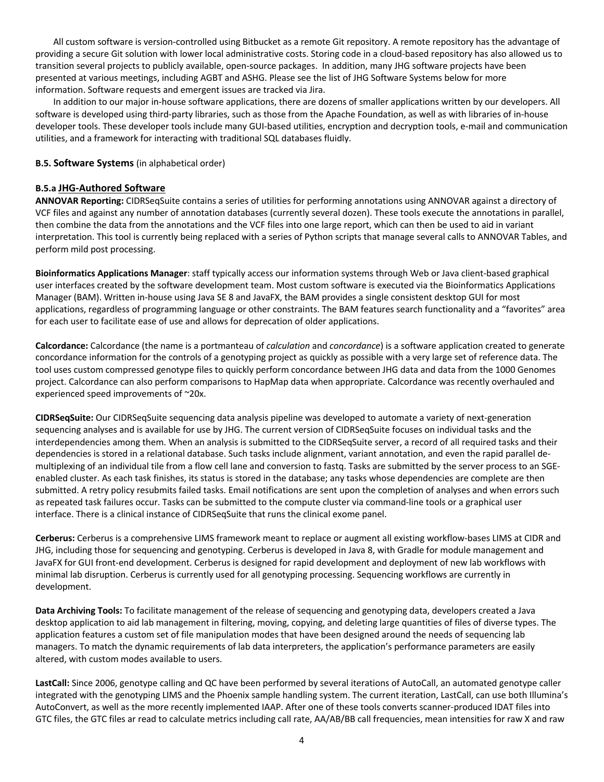All custom software is version-controlled using Bitbucket as a remote Git repository. A remote repository has the advantage of providing a secure Git solution with lower local administrative costs. Storing code in a cloud-based repository has also allowed us to transition several projects to publicly available, open-source packages. In addition, many JHG software projects have been presented at various meetings, including AGBT and ASHG. Please see the list of JHG Software Systems below for more information. Software requests and emergent issues are tracked via Jira.

In addition to our major in-house software applications, there are dozens of smaller applications written by our developers. All software is developed using third-party libraries, such as those from the Apache Foundation, as well as with libraries of in-house developer tools. These developer tools include many GUI-based utilities, encryption and decryption tools, e-mail and communication utilities, and a framework for interacting with traditional SQL databases fluidly.

## **B.5. Software Systems** (in alphabetical order)

## **B.5.a JHG-Authored Software**

**ANNOVAR Reporting:** CIDRSeqSuite contains a series of utilities for performing annotations using ANNOVAR against a directory of VCF files and against any number of annotation databases (currently several dozen). These tools execute the annotations in parallel, then combine the data from the annotations and the VCF files into one large report, which can then be used to aid in variant interpretation. This tool is currently being replaced with a series of Python scripts that manage several calls to ANNOVAR Tables, and perform mild post processing.

**Bioinformatics Applications Manager**: staff typically access our information systems through Web or Java client-based graphical user interfaces created by the software development team. Most custom software is executed via the Bioinformatics Applications Manager (BAM). Written in-house using Java SE 8 and JavaFX, the BAM provides a single consistent desktop GUI for most applications, regardless of programming language or other constraints. The BAM features search functionality and a "favorites" area for each user to facilitate ease of use and allows for deprecation of older applications.

**Calcordance:** Calcordance (the name is a portmanteau of *calculation* and *concordance*) is a software application created to generate concordance information for the controls of a genotyping project as quickly as possible with a very large set of reference data. The tool uses custom compressed genotype files to quickly perform concordance between JHG data and data from the 1000 Genomes project. Calcordance can also perform comparisons to HapMap data when appropriate. Calcordance was recently overhauled and experienced speed improvements of ~20x.

**CIDRSeqSuite:** Our CIDRSeqSuite sequencing data analysis pipeline was developed to automate a variety of next-generation sequencing analyses and is available for use by JHG. The current version of CIDRSeqSuite focuses on individual tasks and the interdependencies among them. When an analysis is submitted to the CIDRSeqSuite server, a record of all required tasks and their dependencies is stored in a relational database. Such tasks include alignment, variant annotation, and even the rapid parallel demultiplexing of an individual tile from a flow cell lane and conversion to fastq. Tasks are submitted by the server process to an SGEenabled cluster. As each task finishes, its status is stored in the database; any tasks whose dependencies are complete are then submitted. A retry policy resubmits failed tasks. Email notifications are sent upon the completion of analyses and when errors such as repeated task failures occur. Tasks can be submitted to the compute cluster via command-line tools or a graphical user interface. There is a clinical instance of CIDRSeqSuite that runs the clinical exome panel.

**Cerberus:** Cerberus is a comprehensive LIMS framework meant to replace or augment all existing workflow-bases LIMS at CIDR and JHG, including those for sequencing and genotyping. Cerberus is developed in Java 8, with Gradle for module management and JavaFX for GUI front-end development. Cerberus is designed for rapid development and deployment of new lab workflows with minimal lab disruption. Cerberus is currently used for all genotyping processing. Sequencing workflows are currently in development.

**Data Archiving Tools:** To facilitate management of the release of sequencing and genotyping data, developers created a Java desktop application to aid lab management in filtering, moving, copying, and deleting large quantities of files of diverse types. The application features a custom set of file manipulation modes that have been designed around the needs of sequencing lab managers. To match the dynamic requirements of lab data interpreters, the application's performance parameters are easily altered, with custom modes available to users.

**LastCall:** Since 2006, genotype calling and QC have been performed by several iterations of AutoCall, an automated genotype caller integrated with the genotyping LIMS and the Phoenix sample handling system. The current iteration, LastCall, can use both Illumina's AutoConvert, as well as the more recently implemented IAAP. After one of these tools converts scanner-produced IDAT files into GTC files, the GTC files ar read to calculate metrics including call rate, AA/AB/BB call frequencies, mean intensities for raw X and raw